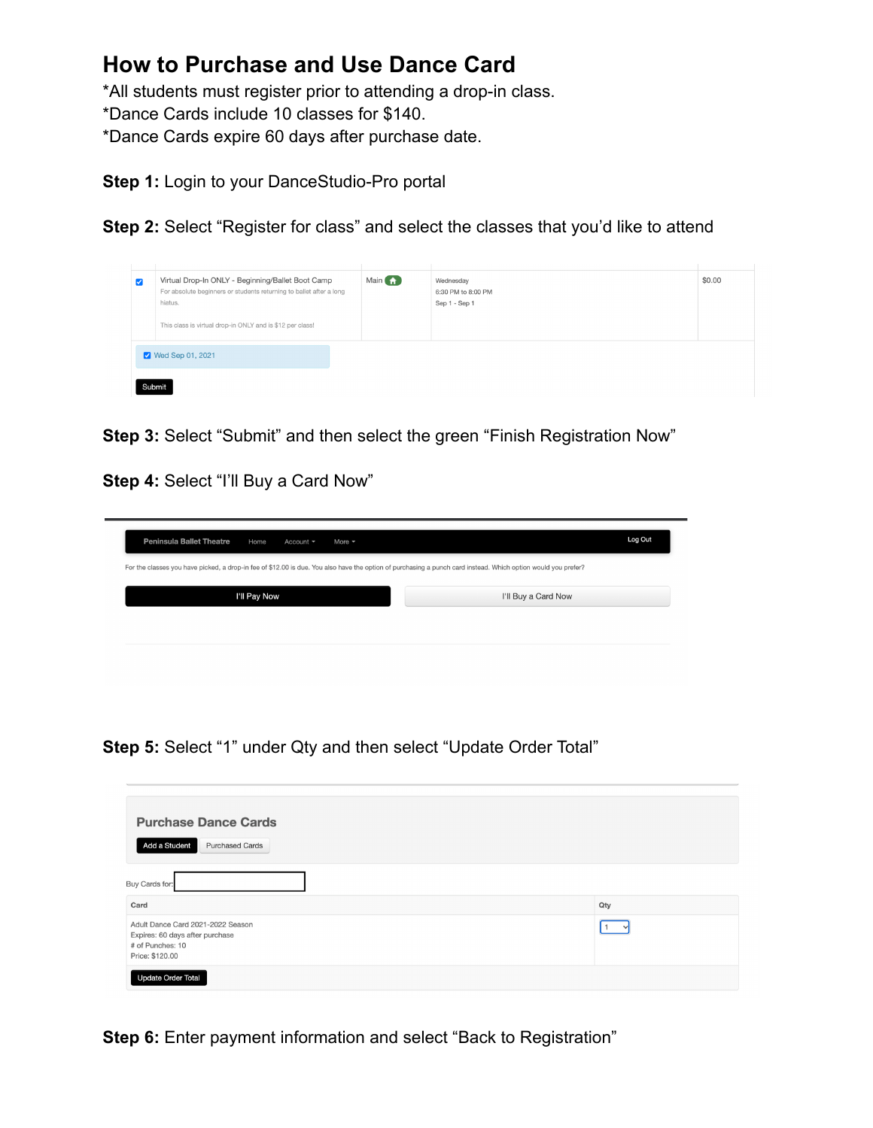## **How to Purchase and Use Dance Card**

\*All students must register prior to attending a drop-in class.

\*Dance Cards include 10 classes for \$140.

\*Dance Cards expire 60 days after purchase date.

**Step 1:** Login to your DanceStudio-Pro portal

**Step 2:** Select "Register for class" and select the classes that you'd like to attend



**Step 3:** Select "Submit" and then select the green "Finish Registration Now"

**Step 4:** Select "I'll Buy a Card Now"

| I'll Buy a Card Now | For the classes you have picked, a drop-in fee of \$12.00 is due. You also have the option of purchasing a punch card instead. Which option would you prefer? |
|---------------------|---------------------------------------------------------------------------------------------------------------------------------------------------------------|
|                     |                                                                                                                                                               |
|                     | I'll Pay Now                                                                                                                                                  |
|                     |                                                                                                                                                               |
|                     |                                                                                                                                                               |

**Step 5:** Select "1" under Qty and then select "Update Order Total"

| <b>Purchase Dance Cards</b><br>Add a Student<br><b>Purchased Cards</b>                                      |     |
|-------------------------------------------------------------------------------------------------------------|-----|
| Buy Cards for:                                                                                              |     |
| Card                                                                                                        | Qty |
| Adult Dance Card 2021-2022 Season<br>Expires: 60 days after purchase<br># of Punches: 10<br>Price: \$120.00 |     |
| <b>Update Order Total</b>                                                                                   |     |

**Step 6:** Enter payment information and select "Back to Registration"